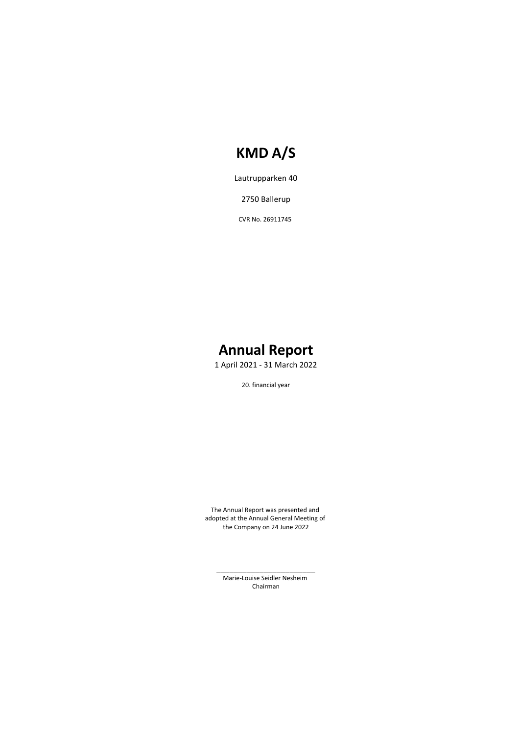Lautrupparken 40

2750 Ballerup

CVR No. 26911745

# **Annual Report**

1 April 2021 - 31 March 2022

20. financial year

The Annual Report was presented and adopted at the Annual General Meeting of the Company on 24 June 2022

> \_\_\_\_\_\_\_\_\_\_\_\_\_\_\_\_\_\_\_\_\_\_\_ Marie-Louise Seidler Nesheim Chairman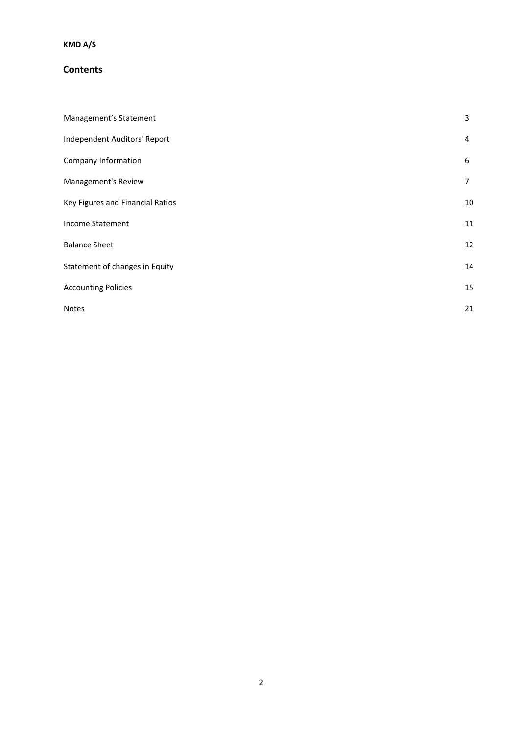### **Contents**

| Management's Statement           | 3              |
|----------------------------------|----------------|
| Independent Auditors' Report     | 4              |
| Company Information              | 6              |
| Management's Review              | $\overline{7}$ |
| Key Figures and Financial Ratios | 10             |
| Income Statement                 | 11             |
| <b>Balance Sheet</b>             | 12             |
| Statement of changes in Equity   | 14             |
| <b>Accounting Policies</b>       | 15             |
| <b>Notes</b>                     | 21             |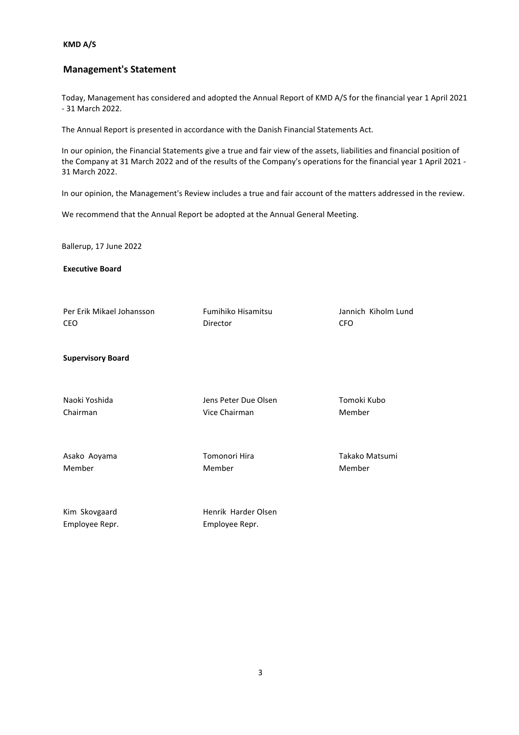### **Management's Statement**

Today, Management has considered and adopted the Annual Report of KMD A/S for the financial year 1 April 2021 - 31 March 2022.

The Annual Report is presented in accordance with the Danish Financial Statements Act.

In our opinion, the Financial Statements give a true and fair view of the assets, liabilities and financial position of the Company at 31 March 2022 and of the results of the Company's operations for the financial year 1 April 2021 - 31 March 2022.

In our opinion, the Management's Review includes a true and fair account of the matters addressed in the review.

We recommend that the Annual Report be adopted at the Annual General Meeting.

Ballerup, 17 June 2022

**Executive Board**

| Per Erik Mikael Johansson       | Fumihiko Hisamitsu                    | Jannich Kiholm Lund |
|---------------------------------|---------------------------------------|---------------------|
| <b>CEO</b>                      | Director                              | <b>CFO</b>          |
| <b>Supervisory Board</b>        |                                       |                     |
| Naoki Yoshida                   | Jens Peter Due Olsen                  | Tomoki Kubo         |
| Chairman                        | Vice Chairman                         | Member              |
| Asako Aoyama                    | Tomonori Hira                         | Takako Matsumi      |
| Member                          | Member                                | Member              |
| Kim Skovgaard<br>Employee Repr. | Henrik Harder Olsen<br>Employee Repr. |                     |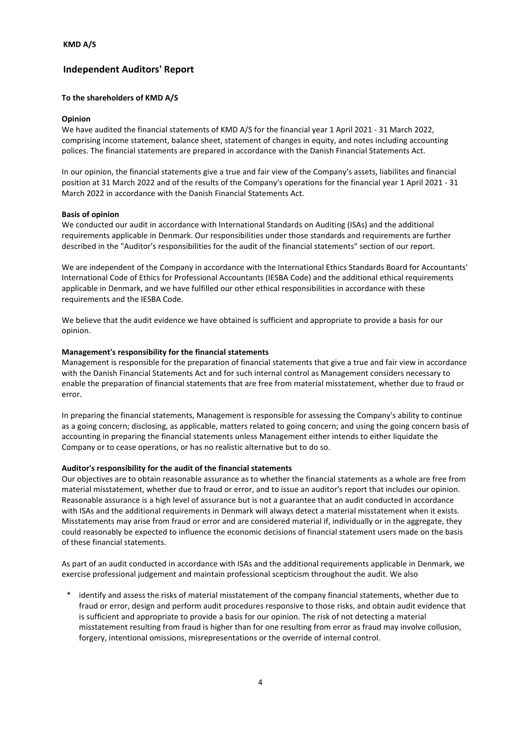### **Independent Auditors' Report**

#### **To the shareholders of KMD A/S**

#### **Opinion**

We have audited the financial statements of KMD A/S for the financial year 1 April 2021 - 31 March 2022, comprising income statement, balance sheet, statement of changes in equity, and notes including accounting polices. The financial statements are prepared in accordance with the Danish Financial Statements Act.

In our opinion, the financial statements give a true and fair view of the Company's assets, liabilites and financial position at 31 March 2022 and of the results of the Company's operations for the financial year 1 April 2021 - 31 March 2022 in accordance with the Danish Financial Statements Act.

#### **Basis of opinion**

We conducted our audit in accordance with International Standards on Auditing (ISAs) and the additional requirements applicable in Denmark. Our responsibilities under those standards and requirements are further described in the "Auditor's responsibilities for the audit of the financial statements" section of our report.

We are independent of the Company in accordance with the International Ethics Standards Board for Accountants' International Code of Ethics for Professional Accountants (IESBA Code) and the additional ethical requirements applicable in Denmark, and we have fulfilled our other ethical responsibilities in accordance with these requirements and the IESBA Code.

We believe that the audit evidence we have obtained is sufficient and appropriate to provide a basis for our opinion.

#### **Management's responsibility for the financial statements**

Management is responsible for the preparation of financial statements that give a true and fair view in accordance with the Danish Financial Statements Act and for such internal control as Management considers necessary to enable the preparation of financial statements that are free from material misstatement, whether due to fraud or error.

In preparing the financial statements, Management is responsible for assessing the Company's ability to continue as a going concern; disclosing, as applicable, matters related to going concern; and using the going concern basis of accounting in preparing the financial statements unless Management either intends to either liquidate the Company or to cease operations, or has no realistic alternative but to do so.

#### **Auditor's responsibility for the audit of the financial statements**

Our objectives are to obtain reasonable assurance as to whether the financial statements as a whole are free from material misstatement, whether due to fraud or error, and to issue an auditor's report that includes our opinion. Reasonable assurance is a high level of assurance but is not a guarantee that an audit conducted in accordance with ISAs and the additional requirements in Denmark will always detect a material misstatement when it exists. Misstatements may arise from fraud or error and are considered material if, individually or in the aggregate, they could reasonably be expected to influence the economic decisions of financial statement users made on the basis of these financial statements.

As part of an audit conducted in accordance with ISAs and the additional requirements applicable in Denmark, we exercise professional judgement and maintain professional scepticism throughout the audit. We also

identify and assess the risks of material misstatement of the company financial statements, whether due to fraud or error, design and perform audit procedures responsive to those risks, and obtain audit evidence that is sufficient and appropriate to provide a basis for our opinion. The risk of not detecting a material misstatement resulting from fraud is higher than for one resulting from error as fraud may involve collusion, forgery, intentional omissions, misrepresentations or the override of internal control.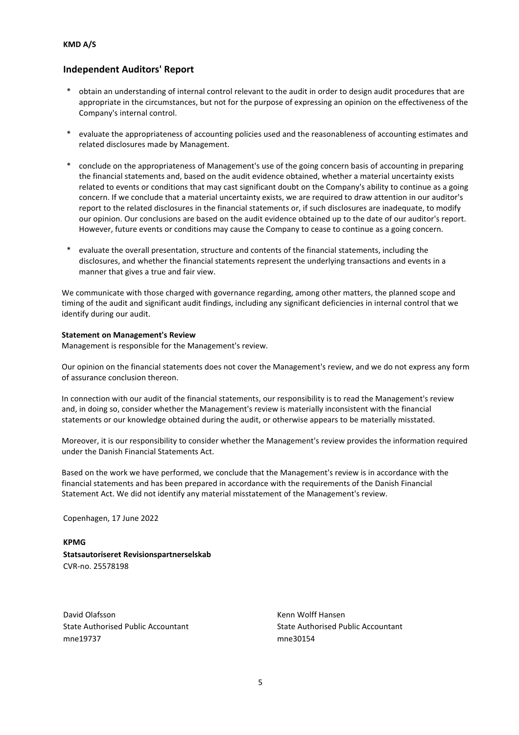### **Independent Auditors' Report**

- \* obtain an understanding of internal control relevant to the audit in order to design audit procedures that are appropriate in the circumstances, but not for the purpose of expressing an opinion on the effectiveness of the Company's internal control.
- \* evaluate the appropriateness of accounting policies used and the reasonableness of accounting estimates and related disclosures made by Management.
- conclude on the appropriateness of Management's use of the going concern basis of accounting in preparing the financial statements and, based on the audit evidence obtained, whether a material uncertainty exists related to events or conditions that may cast significant doubt on the Company's ability to continue as a going concern. If we conclude that a material uncertainty exists, we are required to draw attention in our auditor's report to the related disclosures in the financial statements or, if such disclosures are inadequate, to modify our opinion. Our conclusions are based on the audit evidence obtained up to the date of our auditor's report. However, future events or conditions may cause the Company to cease to continue as a going concern.
- evaluate the overall presentation, structure and contents of the financial statements, including the disclosures, and whether the financial statements represent the underlying transactions and events in a manner that gives a true and fair view.

We communicate with those charged with governance regarding, among other matters, the planned scope and timing of the audit and significant audit findings, including any significant deficiencies in internal control that we identify during our audit.

#### **Statement on Management's Review**

Management is responsible for the Management's review.

Our opinion on the financial statements does not cover the Management's review, and we do not express any form of assurance conclusion thereon.

In connection with our audit of the financial statements, our responsibility is to read the Management's review and, in doing so, consider whether the Management's review is materially inconsistent with the financial statements or our knowledge obtained during the audit, or otherwise appears to be materially misstated.

Moreover, it is our responsibility to consider whether the Management's review provides the information required under the Danish Financial Statements Act.

Based on the work we have performed, we conclude that the Management's review is in accordance with the financial statements and has been prepared in accordance with the requirements of the Danish Financial Statement Act. We did not identify any material misstatement of the Management's review.

Copenhagen, 17 June 2022

**KPMG Statsautoriseret Revisionspartnerselskab** CVR-no. 25578198

David Olafsson North Communication Communication Communication Communication Communication Communication Communication Communication Communication Communication Communication Communication Communication Communication Commu mne19737 mne30154

State Authorised Public Accountant State Authorised Public Accountant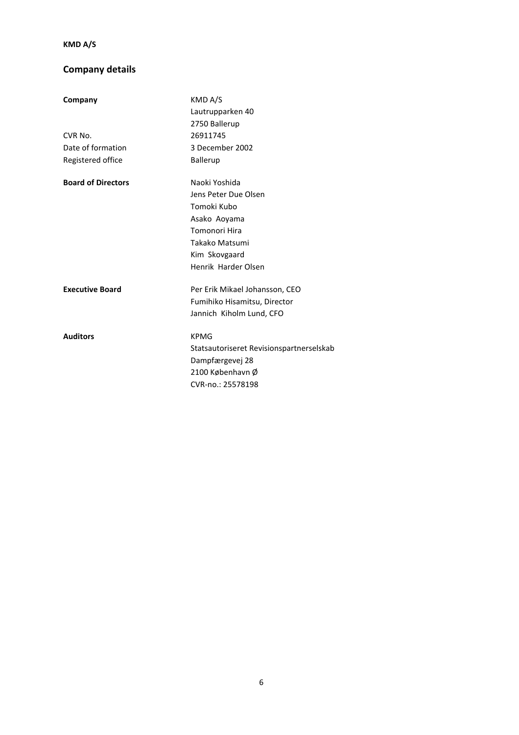# **Company details**

| Company                   | KMD A/S<br>Lautrupparken 40              |
|---------------------------|------------------------------------------|
|                           | 2750 Ballerup                            |
| CVR No.                   | 26911745                                 |
| Date of formation         | 3 December 2002                          |
| Registered office         | <b>Ballerup</b>                          |
| <b>Board of Directors</b> | Naoki Yoshida                            |
|                           | Jens Peter Due Olsen                     |
|                           | Tomoki Kubo                              |
|                           | Asako Aoyama                             |
|                           | Tomonori Hira                            |
|                           | Takako Matsumi                           |
|                           | Kim Skovgaard                            |
|                           | Henrik Harder Olsen                      |
| <b>Executive Board</b>    | Per Erik Mikael Johansson, CEO           |
|                           | Fumihiko Hisamitsu, Director             |
|                           | Jannich Kiholm Lund, CFO                 |
| <b>Auditors</b>           | <b>KPMG</b>                              |
|                           | Statsautoriseret Revisionspartnerselskab |
|                           | Dampfærgevej 28                          |
|                           | 2100 København Ø                         |
|                           | CVR-no.: 25578198                        |
|                           |                                          |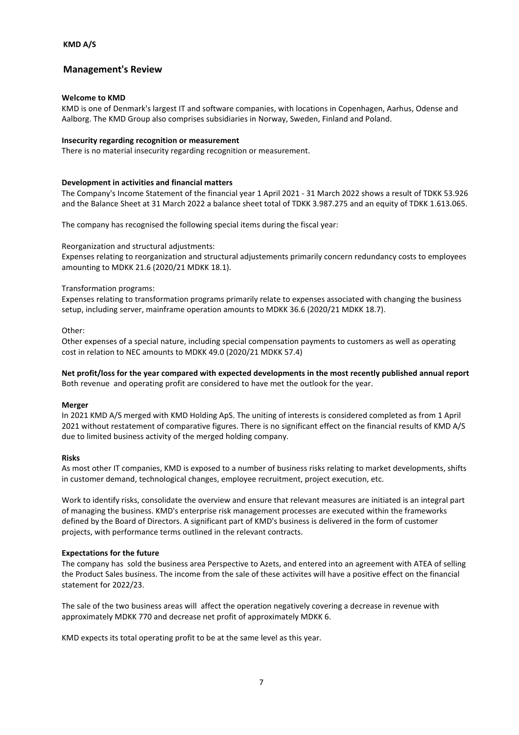### **Management's Review**

#### **Welcome to KMD**

KMD is one of Denmark's largest IT and software companies, with locations in Copenhagen, Aarhus, Odense and Aalborg. The KMD Group also comprises subsidiaries in Norway, Sweden, Finland and Poland.

#### **Insecurity regarding recognition or measurement**

There is no material insecurity regarding recognition or measurement.

#### **Development in activities and financial matters**

The Company's Income Statement of the financial year 1 April 2021 - 31 March 2022 shows a result of TDKK 53.926 and the Balance Sheet at 31 March 2022 a balance sheet total of TDKK 3.987.275 and an equity of TDKK 1.613.065.

The company has recognised the following special items during the fiscal year:

Reorganization and structural adjustments:

Expenses relating to reorganization and structural adjustements primarily concern redundancy costs to employees amounting to MDKK 21.6 (2020/21 MDKK 18.1).

#### Transformation programs:

Expenses relating to transformation programs primarily relate to expenses associated with changing the business setup, including server, mainframe operation amounts to MDKK 36.6 (2020/21 MDKK 18.7).

#### Other:

Other expenses of a special nature, including special compensation payments to customers as well as operating cost in relation to NEC amounts to MDKK 49.0 (2020/21 MDKK 57.4)

**Net profit/loss for the year compared with expected developments in the most recently published annual report** Both revenue and operating profit are considered to have met the outlook for the year.

#### **Merger**

In 2021 KMD A/S merged with KMD Holding ApS. The uniting of interests is considered completed as from 1 April 2021 without restatement of comparative figures. There is no significant effect on the financial results of KMD A/S due to limited business activity of the merged holding company.

#### **Risks**

As most other IT companies, KMD is exposed to a number of business risks relating to market developments, shifts in customer demand, technological changes, employee recruitment, project execution, etc.

Work to identify risks, consolidate the overview and ensure that relevant measures are initiated is an integral part of managing the business. KMD's enterprise risk management processes are executed within the frameworks defined by the Board of Directors. A significant part of KMD's business is delivered in the form of customer projects, with performance terms outlined in the relevant contracts.

#### **Expectations for the future**

The company has sold the business area Perspective to Azets, and entered into an agreement with ATEA of selling the Product Sales business. The income from the sale of these activites will have a positive effect on the financial statement for 2022/23.

The sale of the two business areas will affect the operation negatively covering a decrease in revenue with approximately MDKK 770 and decrease net profit of approximately MDKK 6.

KMD expects its total operating profit to be at the same level as this year.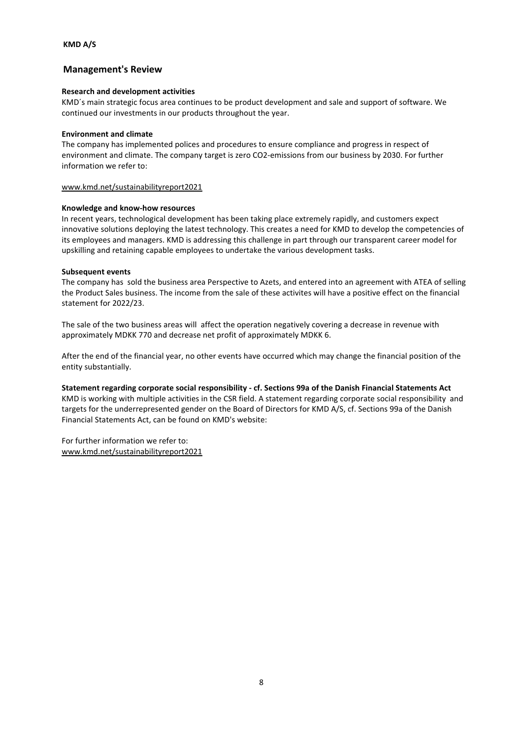### **Management's Review**

#### **Research and development activities**

KMD´s main strategic focus area continues to be product development and sale and support of software. We continued our investments in our products throughout the year.

#### **Environment and climate**

The company has implemented polices and procedures to ensure compliance and progress in respect of environment and climate. The company target is zero CO2-emissions from our business by 2030. For further information we refer to:

#### www.kmd.net/sustainabilityreport2021

#### **Knowledge and know-how resources**

In recent years, technological development has been taking place extremely rapidly, and customers expect innovative solutions deploying the latest technology. This creates a need for KMD to develop the competencies of its employees and managers. KMD is addressing this challenge in part through our transparent career model for upskilling and retaining capable employees to undertake the various development tasks.

#### **Subsequent events**

The company has sold the business area Perspective to Azets, and entered into an agreement with ATEA of selling the Product Sales business. The income from the sale of these activites will have a positive effect on the financial statement for 2022/23.

The sale of the two business areas will affect the operation negatively covering a decrease in revenue with approximately MDKK 770 and decrease net profit of approximately MDKK 6.

After the end of the financial year, no other events have occurred which may change the financial position of the entity substantially.

**Statement regarding corporate social responsibility - cf. Sections 99a of the Danish Financial Statements Act** KMD is working with multiple activities in the CSR field. A statement regarding corporate social responsibility and targets for the underrepresented gender on the Board of Directors for KMD A/S, cf. Sections 99a of the Danish Financial Statements Act, can be found on KMD's website:

For further information we refer to: www.kmd.net/sustainabilityreport2021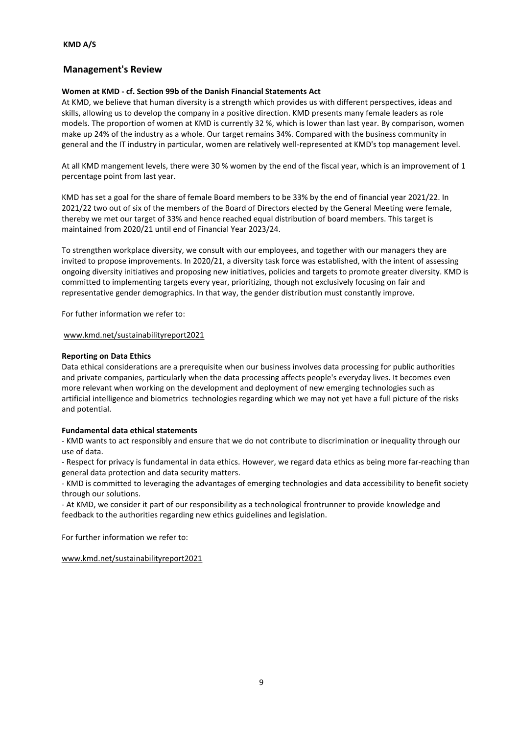### **Management's Review**

#### **Women at KMD - cf. Section 99b of the Danish Financial Statements Act**

At KMD, we believe that human diversity is a strength which provides us with different perspectives, ideas and skills, allowing us to develop the company in a positive direction. KMD presents many female leaders as role models. The proportion of women at KMD is currently 32 %, which is lower than last year. By comparison, women make up 24% of the industry as a whole. Our target remains 34%. Compared with the business community in general and the IT industry in particular, women are relatively well-represented at KMD's top management level.

At all KMD mangement levels, there were 30 % women by the end of the fiscal year, which is an improvement of 1 percentage point from last year.

KMD has set a goal for the share of female Board members to be 33% by the end of financial year 2021/22. In 2021/22 two out of six of the members of the Board of Directors elected by the General Meeting were female, thereby we met our target of 33% and hence reached equal distribution of board members. This target is maintained from 2020/21 until end of Financial Year 2023/24.

To strengthen workplace diversity, we consult with our employees, and together with our managers they are invited to propose improvements. In 2020/21, a diversity task force was established, with the intent of assessing ongoing diversity initiatives and proposing new initiatives, policies and targets to promote greater diversity. KMD is committed to implementing targets every year, prioritizing, though not exclusively focusing on fair and representative gender demographics. In that way, the gender distribution must constantly improve.

For futher information we refer to:

www.kmd.net/sustainabilityreport2021

#### **Reporting on Data Ethics**

Data ethical considerations are a prerequisite when our business involves data processing for public authorities and private companies, particularly when the data processing affects people's everyday lives. It becomes even more relevant when working on the development and deployment of new emerging technologies such as artificial intelligence and biometrics technologies regarding which we may not yet have a full picture of the risks and potential.

#### **Fundamental data ethical statements**

- KMD wants to act responsibly and ensure that we do not contribute to discrimination or inequality through our use of data.

- Respect for privacy is fundamental in data ethics. However, we regard data ethics as being more far-reaching than general data protection and data security matters.

- KMD is committed to leveraging the advantages of emerging technologies and data accessibility to benefit society through our solutions.

- At KMD, we consider it part of our responsibility as a technological frontrunner to provide knowledge and feedback to the authorities regarding new ethics guidelines and legislation.

For further information we refer to:

www.kmd.net/sustainabilityreport2021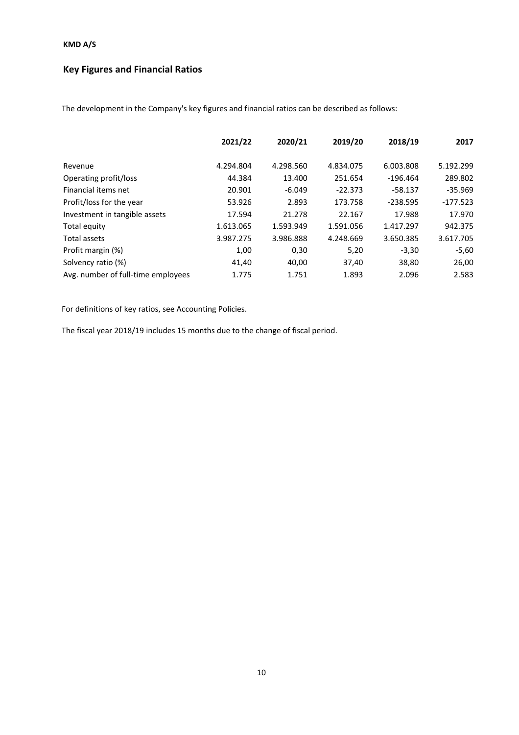# **Key Figures and Financial Ratios**

The development in the Company's key figures and financial ratios can be described as follows:

|                                    | 2021/22   | 2020/21   | 2019/20   | 2018/19    | 2017       |
|------------------------------------|-----------|-----------|-----------|------------|------------|
| Revenue                            | 4.294.804 | 4.298.560 | 4.834.075 | 6.003.808  | 5.192.299  |
| Operating profit/loss              | 44.384    | 13.400    | 251.654   | $-196.464$ | 289.802    |
| Financial items net                | 20.901    | $-6.049$  | $-22.373$ | $-58.137$  | $-35.969$  |
| Profit/loss for the year           | 53.926    | 2.893     | 173.758   | $-238.595$ | $-177.523$ |
| Investment in tangible assets      | 17.594    | 21.278    | 22.167    | 17.988     | 17.970     |
| Total equity                       | 1.613.065 | 1.593.949 | 1.591.056 | 1.417.297  | 942.375    |
| Total assets                       | 3.987.275 | 3.986.888 | 4.248.669 | 3.650.385  | 3.617.705  |
| Profit margin (%)                  | 1,00      | 0,30      | 5,20      | $-3,30$    | $-5,60$    |
| Solvency ratio (%)                 | 41,40     | 40,00     | 37,40     | 38,80      | 26,00      |
| Avg. number of full-time employees | 1.775     | 1.751     | 1.893     | 2.096      | 2.583      |

For definitions of key ratios, see Accounting Policies.

The fiscal year 2018/19 includes 15 months due to the change of fiscal period.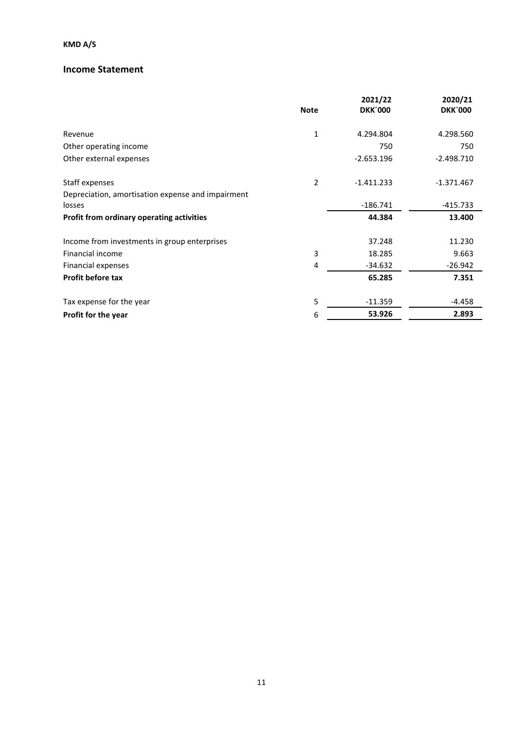### **Income Statement**

|                                                   | <b>Note</b>    | 2021/22<br><b>DKK'000</b> | 2020/21<br><b>DKK'000</b> |
|---------------------------------------------------|----------------|---------------------------|---------------------------|
|                                                   |                |                           |                           |
| Revenue                                           | 1              | 4.294.804                 | 4.298.560                 |
| Other operating income                            |                | 750                       | 750                       |
| Other external expenses                           |                | $-2.653.196$              | $-2.498.710$              |
| Staff expenses                                    | $\overline{2}$ | $-1.411.233$              | $-1.371.467$              |
| Depreciation, amortisation expense and impairment |                |                           |                           |
| losses                                            |                | $-186.741$                | $-415.733$                |
| Profit from ordinary operating activities         |                | 44.384                    | 13.400                    |
| Income from investments in group enterprises      |                | 37.248                    | 11.230                    |
| Financial income                                  | 3              | 18.285                    | 9.663                     |
| Financial expenses                                | 4              | $-34.632$                 | $-26.942$                 |
| <b>Profit before tax</b>                          |                | 65.285                    | 7.351                     |
| Tax expense for the year                          | 5              | $-11.359$                 | $-4.458$                  |
| Profit for the year                               | 6              | 53.926                    | 2.893                     |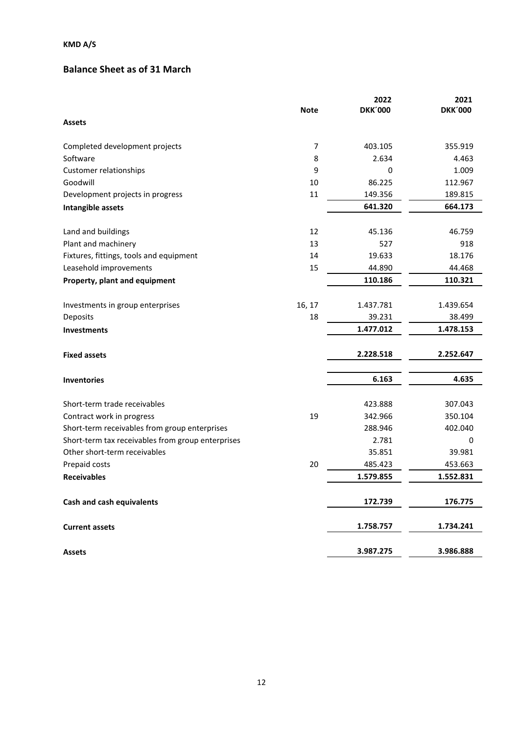# **Balance Sheet as of 31 March**

|                                                   |                | 2022           | 2021           |
|---------------------------------------------------|----------------|----------------|----------------|
|                                                   | <b>Note</b>    | <b>DKK'000</b> | <b>DKK'000</b> |
| <b>Assets</b>                                     |                |                |                |
| Completed development projects                    | $\overline{7}$ | 403.105        | 355.919        |
| Software                                          | 8              | 2.634          | 4.463          |
| Customer relationships                            | 9              | 0              | 1.009          |
| Goodwill                                          | 10             | 86.225         | 112.967        |
| Development projects in progress                  | 11             | 149.356        | 189.815        |
| Intangible assets                                 |                | 641.320        | 664.173        |
| Land and buildings                                | 12             | 45.136         | 46.759         |
| Plant and machinery                               | 13             | 527            | 918            |
| Fixtures, fittings, tools and equipment           | 14             | 19.633         | 18.176         |
| Leasehold improvements                            | 15             | 44.890         | 44.468         |
| Property, plant and equipment                     |                | 110.186        | 110.321        |
| Investments in group enterprises                  | 16, 17         | 1.437.781      | 1.439.654      |
| Deposits                                          | 18             | 39.231         | 38.499         |
| <b>Investments</b>                                |                | 1.477.012      | 1.478.153      |
| <b>Fixed assets</b>                               |                | 2.228.518      | 2.252.647      |
| <b>Inventories</b>                                |                | 6.163          | 4.635          |
| Short-term trade receivables                      |                | 423.888        | 307.043        |
| Contract work in progress                         | 19             | 342.966        | 350.104        |
| Short-term receivables from group enterprises     |                | 288.946        | 402.040        |
| Short-term tax receivables from group enterprises |                | 2.781          | 0              |
| Other short-term receivables                      |                | 35.851         | 39.981         |
| Prepaid costs                                     | 20             | 485.423        | 453.663        |
| <b>Receivables</b>                                |                | 1.579.855      | 1.552.831      |
| Cash and cash equivalents                         |                | 172.739        | 176.775        |
| <b>Current assets</b>                             |                | 1.758.757      | 1.734.241      |
| <b>Assets</b>                                     |                | 3.987.275      | 3.986.888      |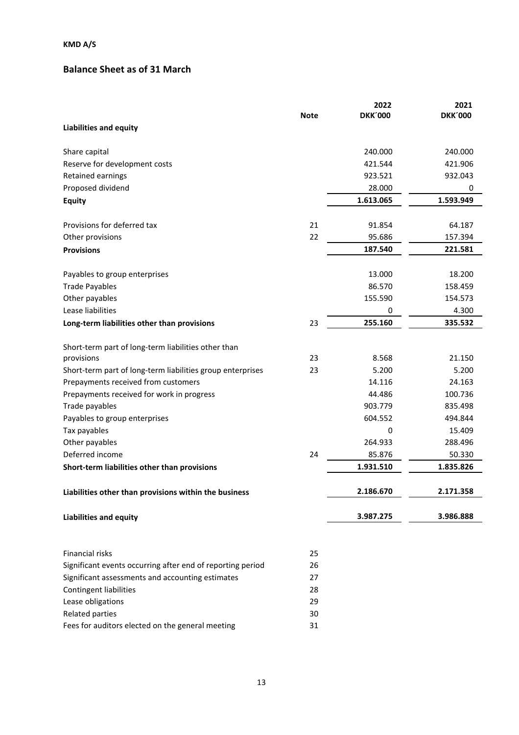# **Balance Sheet as of 31 March**

|                                                            | <b>Note</b> | 2022<br><b>DKK'000</b> | 2021<br><b>DKK'000</b> |
|------------------------------------------------------------|-------------|------------------------|------------------------|
| <b>Liabilities and equity</b>                              |             |                        |                        |
| Share capital                                              |             | 240.000                | 240.000                |
| Reserve for development costs                              |             | 421.544                | 421.906                |
| Retained earnings                                          |             | 923.521                | 932.043                |
| Proposed dividend                                          |             | 28.000                 | 0                      |
| <b>Equity</b>                                              |             | 1.613.065              | 1.593.949              |
| Provisions for deferred tax                                | 21          | 91.854                 | 64.187                 |
| Other provisions                                           | 22          | 95.686                 | 157.394                |
| <b>Provisions</b>                                          |             | 187.540                | 221.581                |
| Payables to group enterprises                              |             | 13.000                 | 18.200                 |
| <b>Trade Payables</b>                                      |             | 86.570                 | 158.459                |
| Other payables                                             |             | 155.590                | 154.573                |
| Lease liabilities                                          |             | 0                      | 4.300                  |
| Long-term liabilities other than provisions                | 23          | 255.160                | 335.532                |
| Short-term part of long-term liabilities other than        |             |                        |                        |
| provisions                                                 | 23          | 8.568                  | 21.150                 |
| Short-term part of long-term liabilities group enterprises | 23          | 5.200                  | 5.200                  |
| Prepayments received from customers                        |             | 14.116                 | 24.163                 |
| Prepayments received for work in progress                  |             | 44.486                 | 100.736                |
| Trade payables                                             |             | 903.779                | 835.498                |
| Payables to group enterprises                              |             | 604.552                | 494.844                |
| Tax payables                                               |             | 0                      | 15.409                 |
| Other payables                                             |             | 264.933                | 288.496                |
| Deferred income                                            | 24          | 85.876                 | 50.330                 |
| Short-term liabilities other than provisions               |             | 1.931.510              | 1.835.826              |
| Liabilities other than provisions within the business      |             | 2.186.670              | 2.171.358              |
| <b>Liabilities and equity</b>                              |             | 3.987.275              | 3.986.888              |
| Financial risks                                            | 25          |                        |                        |
| Significant events occurring after end of reporting period | 26          |                        |                        |
| Significant assessments and accounting estimates           | 27          |                        |                        |
| Contingent liabilities                                     | 28          |                        |                        |
| Lease obligations                                          | 29          |                        |                        |
| <b>Related parties</b>                                     | 30          |                        |                        |
| Fees for auditors elected on the general meeting           | 31          |                        |                        |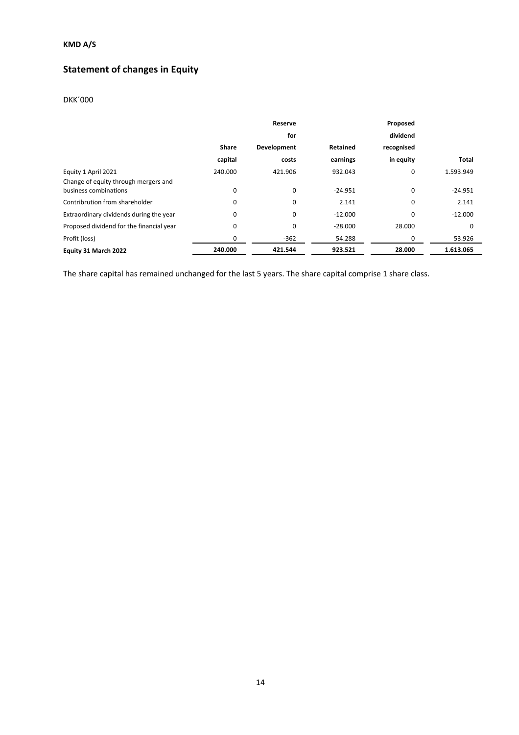# **Statement of changes in Equity**

### DKK´000

|                                          |              | Reserve     |           | Proposed   |              |
|------------------------------------------|--------------|-------------|-----------|------------|--------------|
|                                          |              | for         |           | dividend   |              |
|                                          | <b>Share</b> | Development | Retained  | recognised |              |
|                                          | capital      | costs       | earnings  | in equity  | <b>Total</b> |
| Equity 1 April 2021                      | 240.000      | 421.906     | 932.043   | 0          | 1.593.949    |
| Change of equity through mergers and     |              |             |           |            |              |
| business combinations                    | 0            | 0           | $-24.951$ | 0          | $-24.951$    |
| Contribrution from shareholder           | 0            | 0           | 2.141     | 0          | 2.141        |
| Extraordinary dividends during the year  | 0            | 0           | $-12.000$ | 0          | $-12.000$    |
| Proposed dividend for the financial year | 0            | $\Omega$    | $-28.000$ | 28.000     | 0            |
| Profit (loss)                            | 0            | $-362$      | 54.288    | 0          | 53.926       |
| Equity 31 March 2022                     | 240.000      | 421.544     | 923.521   | 28.000     | 1.613.065    |

The share capital has remained unchanged for the last 5 years. The share capital comprise 1 share class.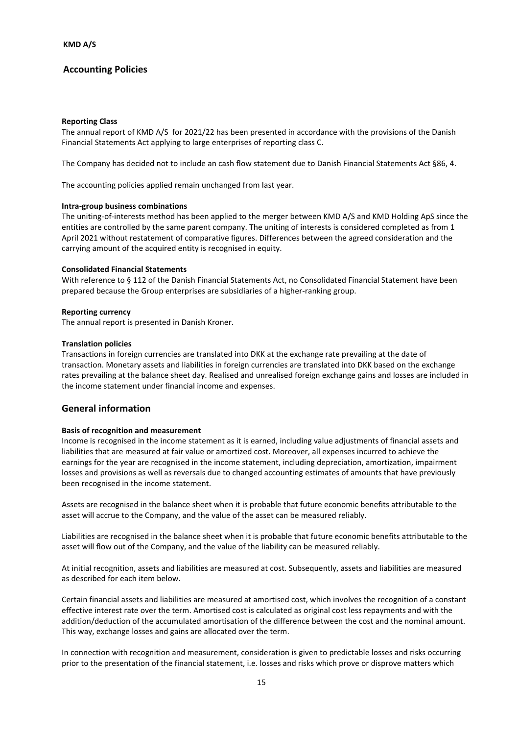#### **Reporting Class**

The annual report of KMD A/S for 2021/22 has been presented in accordance with the provisions of the Danish Financial Statements Act applying to large enterprises of reporting class C.

The Company has decided not to include an cash flow statement due to Danish Financial Statements Act §86, 4.

The accounting policies applied remain unchanged from last year.

#### **Intra-group business combinations**

The uniting-of-interests method has been applied to the merger between KMD A/S and KMD Holding ApS since the entities are controlled by the same parent company. The uniting of interests is considered completed as from 1 April 2021 without restatement of comparative figures. Differences between the agreed consideration and the carrying amount of the acquired entity is recognised in equity.

#### **Consolidated Financial Statements**

With reference to § 112 of the Danish Financial Statements Act, no Consolidated Financial Statement have been prepared because the Group enterprises are subsidiaries of a higher-ranking group.

#### **Reporting currency**

The annual report is presented in Danish Kroner.

#### **Translation policies**

Transactions in foreign currencies are translated into DKK at the exchange rate prevailing at the date of transaction. Monetary assets and liabilities in foreign currencies are translated into DKK based on the exchange rates prevailing at the balance sheet day. Realised and unrealised foreign exchange gains and losses are included in the income statement under financial income and expenses.

### **General information**

#### **Basis of recognition and measurement**

Income is recognised in the income statement as it is earned, including value adjustments of financial assets and liabilities that are measured at fair value or amortized cost. Moreover, all expenses incurred to achieve the earnings for the year are recognised in the income statement, including depreciation, amortization, impairment losses and provisions as well as reversals due to changed accounting estimates of amounts that have previously been recognised in the income statement.

Assets are recognised in the balance sheet when it is probable that future economic benefits attributable to the asset will accrue to the Company, and the value of the asset can be measured reliably.

Liabilities are recognised in the balance sheet when it is probable that future economic benefits attributable to the asset will flow out of the Company, and the value of the liability can be measured reliably.

At initial recognition, assets and liabilities are measured at cost. Subsequently, assets and liabilities are measured as described for each item below.

Certain financial assets and liabilities are measured at amortised cost, which involves the recognition of a constant effective interest rate over the term. Amortised cost is calculated as original cost less repayments and with the addition/deduction of the accumulated amortisation of the difference between the cost and the nominal amount. This way, exchange losses and gains are allocated over the term.

In connection with recognition and measurement, consideration is given to predictable losses and risks occurring prior to the presentation of the financial statement, i.e. losses and risks which prove or disprove matters which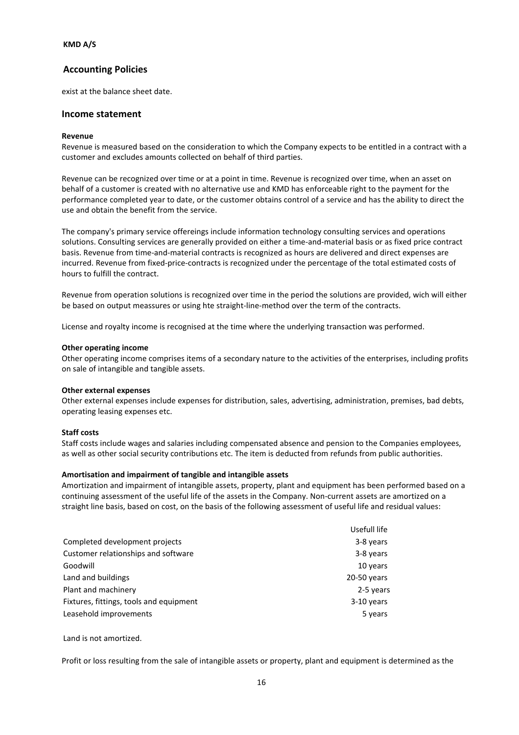exist at the balance sheet date.

#### **Income statement**

#### **Revenue**

Revenue is measured based on the consideration to which the Company expects to be entitled in a contract with a customer and excludes amounts collected on behalf of third parties.

Revenue can be recognized over time or at a point in time. Revenue is recognized over time, when an asset on behalf of a customer is created with no alternative use and KMD has enforceable right to the payment for the performance completed year to date, or the customer obtains control of a service and has the ability to direct the use and obtain the benefit from the service.

The company's primary service offereings include information technology consulting services and operations solutions. Consulting services are generally provided on either a time-and-material basis or as fixed price contract basis. Revenue from time-and-material contracts is recognized as hours are delivered and direct expenses are incurred. Revenue from fixed-price-contracts is recognized under the percentage of the total estimated costs of hours to fulfill the contract.

Revenue from operation solutions is recognized over time in the period the solutions are provided, wich will either be based on output meassures or using hte straight-line-method over the term of the contracts.

License and royalty income is recognised at the time where the underlying transaction was performed.

#### **Other operating income**

Other operating income comprises items of a secondary nature to the activities of the enterprises, including profits on sale of intangible and tangible assets.

#### **Other external expenses**

Other external expenses include expenses for distribution, sales, advertising, administration, premises, bad debts, operating leasing expenses etc.

#### **Staff costs**

Staff costs include wages and salaries including compensated absence and pension to the Companies employees, as well as other social security contributions etc. The item is deducted from refunds from public authorities.

#### **Amortisation and impairment of tangible and intangible assets**

Amortization and impairment of intangible assets, property, plant and equipment has been performed based on a continuing assessment of the useful life of the assets in the Company. Non-current assets are amortized on a straight line basis, based on cost, on the basis of the following assessment of useful life and residual values:

|                                         | Usefull life |
|-----------------------------------------|--------------|
| Completed development projects          | 3-8 years    |
| Customer relationships and software     | 3-8 years    |
| Goodwill                                | 10 years     |
| Land and buildings                      | 20-50 years  |
| Plant and machinery                     | 2-5 years    |
| Fixtures, fittings, tools and equipment | $3-10$ years |
| Leasehold improvements                  | 5 years      |

Land is not amortized.

Profit or loss resulting from the sale of intangible assets or property, plant and equipment is determined as the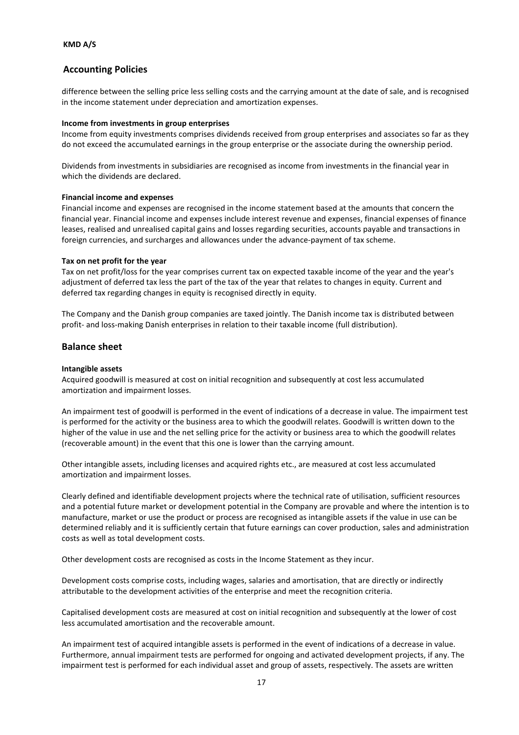difference between the selling price less selling costs and the carrying amount at the date of sale, and is recognised in the income statement under depreciation and amortization expenses.

#### **Income from investments in group enterprises**

Income from equity investments comprises dividends received from group enterprises and associates so far as they do not exceed the accumulated earnings in the group enterprise or the associate during the ownership period.

Dividends from investments in subsidiaries are recognised as income from investments in the financial year in which the dividends are declared.

#### **Financial income and expenses**

Financial income and expenses are recognised in the income statement based at the amounts that concern the financial year. Financial income and expenses include interest revenue and expenses, financial expenses of finance leases, realised and unrealised capital gains and losses regarding securities, accounts payable and transactions in foreign currencies, and surcharges and allowances under the advance-payment of tax scheme.

#### **Tax on net profit for the year**

Tax on net profit/loss for the year comprises current tax on expected taxable income of the year and the year's adjustment of deferred tax less the part of the tax of the year that relates to changes in equity. Current and deferred tax regarding changes in equity is recognised directly in equity.

The Company and the Danish group companies are taxed jointly. The Danish income tax is distributed between profit- and loss-making Danish enterprises in relation to their taxable income (full distribution).

#### **Balance sheet**

#### **Intangible assets**

Acquired goodwill is measured at cost on initial recognition and subsequently at cost less accumulated amortization and impairment losses.

An impairment test of goodwill is performed in the event of indications of a decrease in value. The impairment test is performed for the activity or the business area to which the goodwill relates. Goodwill is written down to the higher of the value in use and the net selling price for the activity or business area to which the goodwill relates (recoverable amount) in the event that this one is lower than the carrying amount.

Other intangible assets, including licenses and acquired rights etc., are measured at cost less accumulated amortization and impairment losses.

Clearly defined and identifiable development projects where the technical rate of utilisation, sufficient resources and a potential future market or development potential in the Company are provable and where the intention is to manufacture, market or use the product or process are recognised as intangible assets if the value in use can be determined reliably and it is sufficiently certain that future earnings can cover production, sales and administration costs as well as total development costs.

Other development costs are recognised as costs in the Income Statement as they incur.

Development costs comprise costs, including wages, salaries and amortisation, that are directly or indirectly attributable to the development activities of the enterprise and meet the recognition criteria.

Capitalised development costs are measured at cost on initial recognition and subsequently at the lower of cost less accumulated amortisation and the recoverable amount.

An impairment test of acquired intangible assets is performed in the event of indications of a decrease in value. Furthermore, annual impairment tests are performed for ongoing and activated development projects, if any. The impairment test is performed for each individual asset and group of assets, respectively. The assets are written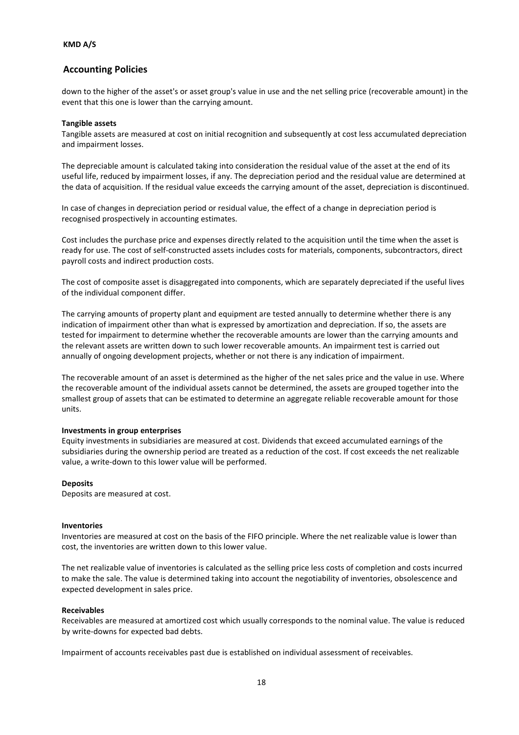down to the higher of the asset's or asset group's value in use and the net selling price (recoverable amount) in the event that this one is lower than the carrying amount.

#### **Tangible assets**

Tangible assets are measured at cost on initial recognition and subsequently at cost less accumulated depreciation and impairment losses.

The depreciable amount is calculated taking into consideration the residual value of the asset at the end of its useful life, reduced by impairment losses, if any. The depreciation period and the residual value are determined at the data of acquisition. If the residual value exceeds the carrying amount of the asset, depreciation is discontinued.

In case of changes in depreciation period or residual value, the effect of a change in depreciation period is recognised prospectively in accounting estimates.

Cost includes the purchase price and expenses directly related to the acquisition until the time when the asset is ready for use. The cost of self-constructed assets includes costs for materials, components, subcontractors, direct payroll costs and indirect production costs.

The cost of composite asset is disaggregated into components, which are separately depreciated if the useful lives of the individual component differ.

The carrying amounts of property plant and equipment are tested annually to determine whether there is any indication of impairment other than what is expressed by amortization and depreciation. If so, the assets are tested for impairment to determine whether the recoverable amounts are lower than the carrying amounts and the relevant assets are written down to such lower recoverable amounts. An impairment test is carried out annually of ongoing development projects, whether or not there is any indication of impairment.

The recoverable amount of an asset is determined as the higher of the net sales price and the value in use. Where the recoverable amount of the individual assets cannot be determined, the assets are grouped together into the smallest group of assets that can be estimated to determine an aggregate reliable recoverable amount for those units.

#### **Investments in group enterprises**

Equity investments in subsidiaries are measured at cost. Dividends that exceed accumulated earnings of the subsidiaries during the ownership period are treated as a reduction of the cost. If cost exceeds the net realizable value, a write-down to this lower value will be performed.

#### **Deposits**

Deposits are measured at cost.

#### **Inventories**

Inventories are measured at cost on the basis of the FIFO principle. Where the net realizable value is lower than cost, the inventories are written down to this lower value.

The net realizable value of inventories is calculated as the selling price less costs of completion and costs incurred to make the sale. The value is determined taking into account the negotiability of inventories, obsolescence and expected development in sales price.

#### **Receivables**

Receivables are measured at amortized cost which usually corresponds to the nominal value. The value is reduced by write-downs for expected bad debts.

Impairment of accounts receivables past due is established on individual assessment of receivables.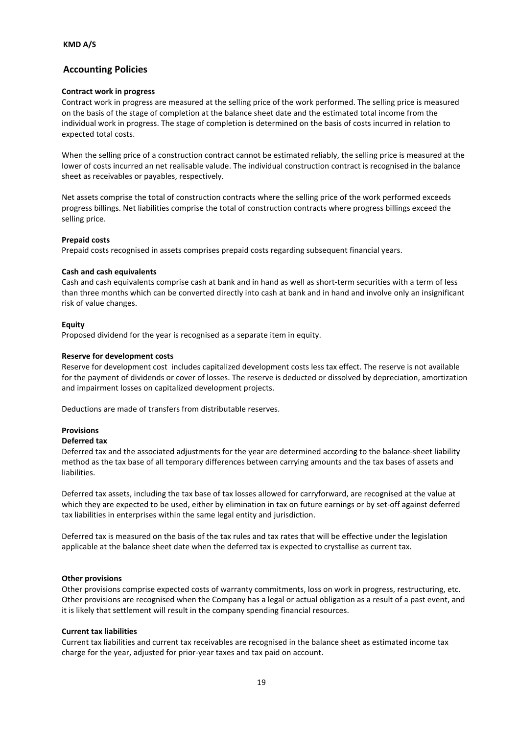#### **Contract work in progress**

Contract work in progress are measured at the selling price of the work performed. The selling price is measured on the basis of the stage of completion at the balance sheet date and the estimated total income from the individual work in progress. The stage of completion is determined on the basis of costs incurred in relation to expected total costs.

When the selling price of a construction contract cannot be estimated reliably, the selling price is measured at the lower of costs incurred an net realisable valude. The individual construction contract is recognised in the balance sheet as receivables or payables, respectively.

Net assets comprise the total of construction contracts where the selling price of the work performed exceeds progress billings. Net liabilities comprise the total of construction contracts where progress billings exceed the selling price.

#### **Prepaid costs**

Prepaid costs recognised in assets comprises prepaid costs regarding subsequent financial years.

#### **Cash and cash equivalents**

Cash and cash equivalents comprise cash at bank and in hand as well as short-term securities with a term of less than three months which can be converted directly into cash at bank and in hand and involve only an insignificant risk of value changes.

#### **Equity**

Proposed dividend for the year is recognised as a separate item in equity.

#### **Reserve for development costs**

Reserve for development cost includes capitalized development costs less tax effect. The reserve is not available for the payment of dividends or cover of losses. The reserve is deducted or dissolved by depreciation, amortization and impairment losses on capitalized development projects.

Deductions are made of transfers from distributable reserves.

### **Provisions**

### **Deferred tax**

Deferred tax and the associated adjustments for the year are determined according to the balance-sheet liability method as the tax base of all temporary differences between carrying amounts and the tax bases of assets and liabilities.

Deferred tax assets, including the tax base of tax losses allowed for carryforward, are recognised at the value at which they are expected to be used, either by elimination in tax on future earnings or by set-off against deferred tax liabilities in enterprises within the same legal entity and jurisdiction.

Deferred tax is measured on the basis of the tax rules and tax rates that will be effective under the legislation applicable at the balance sheet date when the deferred tax is expected to crystallise as current tax.

#### **Other provisions**

Other provisions comprise expected costs of warranty commitments, loss on work in progress, restructuring, etc. Other provisions are recognised when the Company has a legal or actual obligation as a result of a past event, and it is likely that settlement will result in the company spending financial resources.

#### **Current tax liabilities**

Current tax liabilities and current tax receivables are recognised in the balance sheet as estimated income tax charge for the year, adjusted for prior-year taxes and tax paid on account.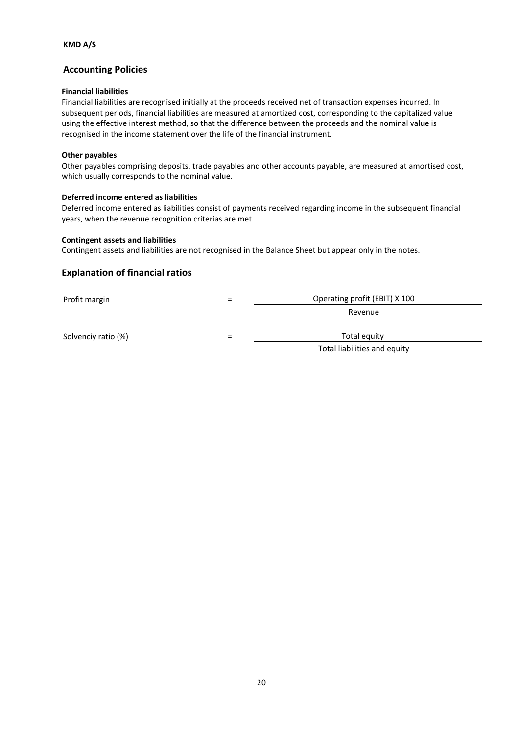#### **Financial liabilities**

Financial liabilities are recognised initially at the proceeds received net of transaction expenses incurred. In subsequent periods, financial liabilities are measured at amortized cost, corresponding to the capitalized value using the effective interest method, so that the difference between the proceeds and the nominal value is recognised in the income statement over the life of the financial instrument.

#### **Other payables**

Other payables comprising deposits, trade payables and other accounts payable, are measured at amortised cost, which usually corresponds to the nominal value.

#### **Deferred income entered as liabilities**

Deferred income entered as liabilities consist of payments received regarding income in the subsequent financial years, when the revenue recognition criterias are met.

#### **Contingent assets and liabilities**

Contingent assets and liabilities are not recognised in the Balance Sheet but appear only in the notes.

### **Explanation of financial ratios**

Profit margin

| = | Operating profit (EBIT) X 100 |
|---|-------------------------------|
|   | Revenue                       |
|   | The the Line and Change       |

Solvenciy ratio (%) and the solvenciy ratio (%) and the solvenciy ratio (%) and the solvencies of  $\overline{z}$ 

Total liabilities and equity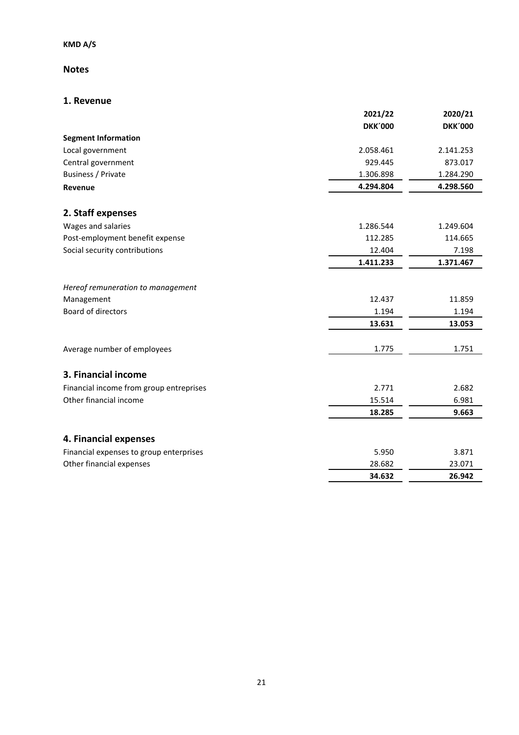# **Notes**

### **1. Revenue**

|                                         | 2021/22        | 2020/21        |
|-----------------------------------------|----------------|----------------|
|                                         | <b>DKK'000</b> | <b>DKK'000</b> |
| <b>Segment Information</b>              |                |                |
| Local government                        | 2.058.461      | 2.141.253      |
| Central government                      | 929.445        | 873.017        |
| Business / Private                      | 1.306.898      | 1.284.290      |
| Revenue                                 | 4.294.804      | 4.298.560      |
| 2. Staff expenses                       |                |                |
| Wages and salaries                      | 1.286.544      | 1.249.604      |
| Post-employment benefit expense         | 112.285        | 114.665        |
| Social security contributions           | 12.404         | 7.198          |
|                                         | 1.411.233      | 1.371.467      |
| Hereof remuneration to management       |                |                |
| Management                              | 12.437         | 11.859         |
| <b>Board of directors</b>               | 1.194          | 1.194          |
|                                         | 13.631         | 13.053         |
| Average number of employees             | 1.775          | 1.751          |
| 3. Financial income                     |                |                |
| Financial income from group entreprises | 2.771          | 2.682          |
| Other financial income                  | 15.514         | 6.981          |
|                                         | 18.285         | 9.663          |
| 4. Financial expenses                   |                |                |
| Financial expenses to group enterprises | 5.950          | 3.871          |
| Other financial expenses                | 28.682         | 23.071         |
|                                         | 34.632         | 26.942         |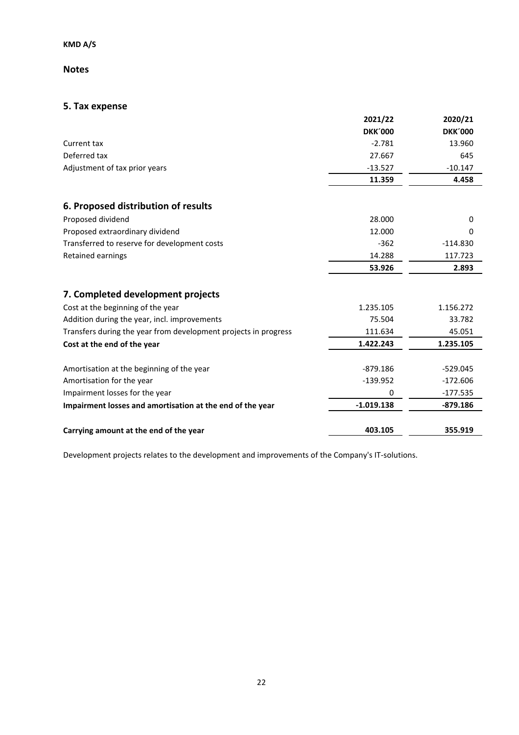### **Notes**

# **5. Tax expense**

| 2021/22        | 2020/21        |
|----------------|----------------|
| <b>DKK'000</b> | <b>DKK'000</b> |
| $-2.781$       | 13.960         |
| 27.667         | 645            |
| $-13.527$      | $-10.147$      |
| 11.359         | 4.458          |
|                |                |
| 28.000         | 0              |
| 12.000         | 0              |
| $-362$         | $-114.830$     |
| 14.288         | 117.723        |
| 53.926         | 2.893          |
|                |                |
| 1.235.105      | 1.156.272      |
| 75.504         | 33.782         |
| 111.634        | 45.051         |
| 1.422.243      | 1.235.105      |
| $-879.186$     | $-529.045$     |
|                | $-172.606$     |
| 0              | $-177.535$     |
| $-1.019.138$   | $-879.186$     |
| 403.105        | 355.919        |
|                | $-139.952$     |

Development projects relates to the development and improvements of the Company's IT-solutions.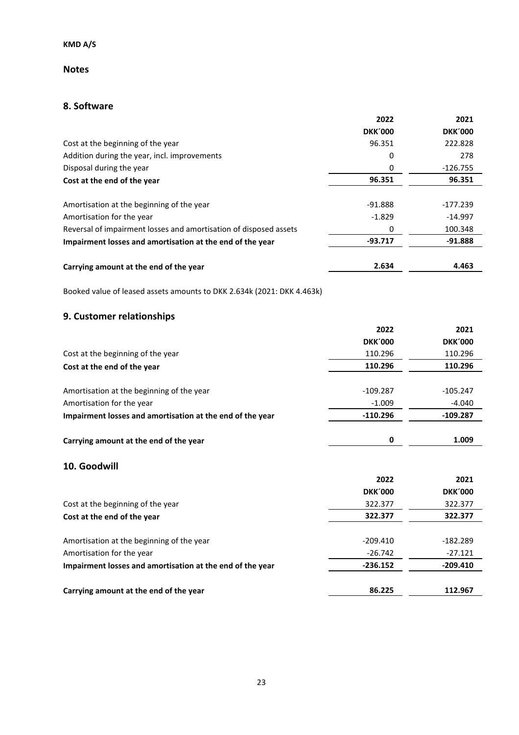### **Notes**

# **8. Software**

| <b>DKK'000</b><br><b>DKK'000</b><br>Cost at the beginning of the year<br>96.351<br>222.828<br>Addition during the year, incl. improvements<br>0<br>278<br>Disposal during the year<br>$-126.755$<br>0<br>96.351<br>96.351<br>Cost at the end of the year<br>Amortisation at the beginning of the year<br>$-91.888$<br>$-177.239$<br>Amortisation for the year<br>$-1.829$<br>$-14.997$<br>Reversal of impairment losses and amortisation of disposed assets<br>0<br>100.348<br>$-93.717$<br>$-91.888$<br>Impairment losses and amortisation at the end of the year<br>2.634<br>4.463<br>Carrying amount at the end of the year<br>Booked value of leased assets amounts to DKK 2.634k (2021: DKK 4.463k)<br>9. Customer relationships<br>2022<br>2021<br><b>DKK'000</b><br><b>DKK'000</b><br>110.296<br>110.296<br>Cost at the beginning of the year<br>110.296<br>110.296<br>Cost at the end of the year<br>$-109.287$<br>Amortisation at the beginning of the year<br>$-105.247$<br>Amortisation for the year<br>$-1.009$<br>$-4.040$<br>$-110.296$<br>$-109.287$<br>Impairment losses and amortisation at the end of the year<br>$\bf{0}$<br>1.009<br>Carrying amount at the end of the year<br>10. Goodwill<br>2022<br>2021<br><b>DKK'000</b><br><b>DKK'000</b><br>322.377<br>322.377<br>Cost at the beginning of the year<br>322.377<br>322.377<br>Cost at the end of the year<br>Amortisation at the beginning of the year<br>$-209.410$<br>-182.289<br>Amortisation for the year<br>$-26.742$<br>$-27.121$<br>Impairment losses and amortisation at the end of the year<br>$-236.152$<br>$-209.410$ |                                        | 2022   | 2021    |
|------------------------------------------------------------------------------------------------------------------------------------------------------------------------------------------------------------------------------------------------------------------------------------------------------------------------------------------------------------------------------------------------------------------------------------------------------------------------------------------------------------------------------------------------------------------------------------------------------------------------------------------------------------------------------------------------------------------------------------------------------------------------------------------------------------------------------------------------------------------------------------------------------------------------------------------------------------------------------------------------------------------------------------------------------------------------------------------------------------------------------------------------------------------------------------------------------------------------------------------------------------------------------------------------------------------------------------------------------------------------------------------------------------------------------------------------------------------------------------------------------------------------------------------------------------------------------------------------------------|----------------------------------------|--------|---------|
|                                                                                                                                                                                                                                                                                                                                                                                                                                                                                                                                                                                                                                                                                                                                                                                                                                                                                                                                                                                                                                                                                                                                                                                                                                                                                                                                                                                                                                                                                                                                                                                                            |                                        |        |         |
|                                                                                                                                                                                                                                                                                                                                                                                                                                                                                                                                                                                                                                                                                                                                                                                                                                                                                                                                                                                                                                                                                                                                                                                                                                                                                                                                                                                                                                                                                                                                                                                                            |                                        |        |         |
|                                                                                                                                                                                                                                                                                                                                                                                                                                                                                                                                                                                                                                                                                                                                                                                                                                                                                                                                                                                                                                                                                                                                                                                                                                                                                                                                                                                                                                                                                                                                                                                                            |                                        |        |         |
|                                                                                                                                                                                                                                                                                                                                                                                                                                                                                                                                                                                                                                                                                                                                                                                                                                                                                                                                                                                                                                                                                                                                                                                                                                                                                                                                                                                                                                                                                                                                                                                                            |                                        |        |         |
|                                                                                                                                                                                                                                                                                                                                                                                                                                                                                                                                                                                                                                                                                                                                                                                                                                                                                                                                                                                                                                                                                                                                                                                                                                                                                                                                                                                                                                                                                                                                                                                                            |                                        |        |         |
|                                                                                                                                                                                                                                                                                                                                                                                                                                                                                                                                                                                                                                                                                                                                                                                                                                                                                                                                                                                                                                                                                                                                                                                                                                                                                                                                                                                                                                                                                                                                                                                                            |                                        |        |         |
|                                                                                                                                                                                                                                                                                                                                                                                                                                                                                                                                                                                                                                                                                                                                                                                                                                                                                                                                                                                                                                                                                                                                                                                                                                                                                                                                                                                                                                                                                                                                                                                                            |                                        |        |         |
|                                                                                                                                                                                                                                                                                                                                                                                                                                                                                                                                                                                                                                                                                                                                                                                                                                                                                                                                                                                                                                                                                                                                                                                                                                                                                                                                                                                                                                                                                                                                                                                                            |                                        |        |         |
|                                                                                                                                                                                                                                                                                                                                                                                                                                                                                                                                                                                                                                                                                                                                                                                                                                                                                                                                                                                                                                                                                                                                                                                                                                                                                                                                                                                                                                                                                                                                                                                                            |                                        |        |         |
|                                                                                                                                                                                                                                                                                                                                                                                                                                                                                                                                                                                                                                                                                                                                                                                                                                                                                                                                                                                                                                                                                                                                                                                                                                                                                                                                                                                                                                                                                                                                                                                                            |                                        |        |         |
|                                                                                                                                                                                                                                                                                                                                                                                                                                                                                                                                                                                                                                                                                                                                                                                                                                                                                                                                                                                                                                                                                                                                                                                                                                                                                                                                                                                                                                                                                                                                                                                                            |                                        |        |         |
|                                                                                                                                                                                                                                                                                                                                                                                                                                                                                                                                                                                                                                                                                                                                                                                                                                                                                                                                                                                                                                                                                                                                                                                                                                                                                                                                                                                                                                                                                                                                                                                                            |                                        |        |         |
|                                                                                                                                                                                                                                                                                                                                                                                                                                                                                                                                                                                                                                                                                                                                                                                                                                                                                                                                                                                                                                                                                                                                                                                                                                                                                                                                                                                                                                                                                                                                                                                                            |                                        |        |         |
|                                                                                                                                                                                                                                                                                                                                                                                                                                                                                                                                                                                                                                                                                                                                                                                                                                                                                                                                                                                                                                                                                                                                                                                                                                                                                                                                                                                                                                                                                                                                                                                                            |                                        |        |         |
|                                                                                                                                                                                                                                                                                                                                                                                                                                                                                                                                                                                                                                                                                                                                                                                                                                                                                                                                                                                                                                                                                                                                                                                                                                                                                                                                                                                                                                                                                                                                                                                                            |                                        |        |         |
|                                                                                                                                                                                                                                                                                                                                                                                                                                                                                                                                                                                                                                                                                                                                                                                                                                                                                                                                                                                                                                                                                                                                                                                                                                                                                                                                                                                                                                                                                                                                                                                                            |                                        |        |         |
|                                                                                                                                                                                                                                                                                                                                                                                                                                                                                                                                                                                                                                                                                                                                                                                                                                                                                                                                                                                                                                                                                                                                                                                                                                                                                                                                                                                                                                                                                                                                                                                                            |                                        |        |         |
|                                                                                                                                                                                                                                                                                                                                                                                                                                                                                                                                                                                                                                                                                                                                                                                                                                                                                                                                                                                                                                                                                                                                                                                                                                                                                                                                                                                                                                                                                                                                                                                                            |                                        |        |         |
|                                                                                                                                                                                                                                                                                                                                                                                                                                                                                                                                                                                                                                                                                                                                                                                                                                                                                                                                                                                                                                                                                                                                                                                                                                                                                                                                                                                                                                                                                                                                                                                                            |                                        |        |         |
|                                                                                                                                                                                                                                                                                                                                                                                                                                                                                                                                                                                                                                                                                                                                                                                                                                                                                                                                                                                                                                                                                                                                                                                                                                                                                                                                                                                                                                                                                                                                                                                                            |                                        |        |         |
|                                                                                                                                                                                                                                                                                                                                                                                                                                                                                                                                                                                                                                                                                                                                                                                                                                                                                                                                                                                                                                                                                                                                                                                                                                                                                                                                                                                                                                                                                                                                                                                                            |                                        |        |         |
|                                                                                                                                                                                                                                                                                                                                                                                                                                                                                                                                                                                                                                                                                                                                                                                                                                                                                                                                                                                                                                                                                                                                                                                                                                                                                                                                                                                                                                                                                                                                                                                                            |                                        |        |         |
|                                                                                                                                                                                                                                                                                                                                                                                                                                                                                                                                                                                                                                                                                                                                                                                                                                                                                                                                                                                                                                                                                                                                                                                                                                                                                                                                                                                                                                                                                                                                                                                                            |                                        |        |         |
|                                                                                                                                                                                                                                                                                                                                                                                                                                                                                                                                                                                                                                                                                                                                                                                                                                                                                                                                                                                                                                                                                                                                                                                                                                                                                                                                                                                                                                                                                                                                                                                                            |                                        |        |         |
|                                                                                                                                                                                                                                                                                                                                                                                                                                                                                                                                                                                                                                                                                                                                                                                                                                                                                                                                                                                                                                                                                                                                                                                                                                                                                                                                                                                                                                                                                                                                                                                                            |                                        |        |         |
|                                                                                                                                                                                                                                                                                                                                                                                                                                                                                                                                                                                                                                                                                                                                                                                                                                                                                                                                                                                                                                                                                                                                                                                                                                                                                                                                                                                                                                                                                                                                                                                                            |                                        |        |         |
|                                                                                                                                                                                                                                                                                                                                                                                                                                                                                                                                                                                                                                                                                                                                                                                                                                                                                                                                                                                                                                                                                                                                                                                                                                                                                                                                                                                                                                                                                                                                                                                                            |                                        |        |         |
|                                                                                                                                                                                                                                                                                                                                                                                                                                                                                                                                                                                                                                                                                                                                                                                                                                                                                                                                                                                                                                                                                                                                                                                                                                                                                                                                                                                                                                                                                                                                                                                                            |                                        |        |         |
|                                                                                                                                                                                                                                                                                                                                                                                                                                                                                                                                                                                                                                                                                                                                                                                                                                                                                                                                                                                                                                                                                                                                                                                                                                                                                                                                                                                                                                                                                                                                                                                                            | Carrying amount at the end of the year | 86.225 | 112.967 |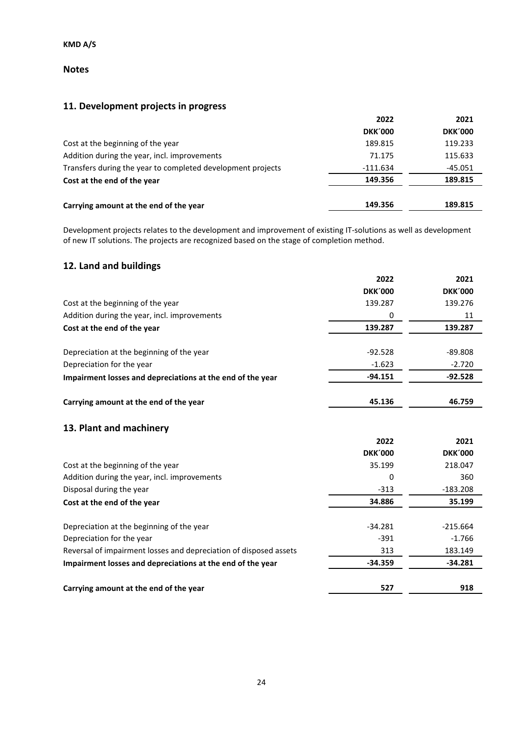### **Notes**

# **11. Development projects in progress**

|                                                             | 2022           | 2021           |
|-------------------------------------------------------------|----------------|----------------|
|                                                             | <b>DKK'000</b> | <b>DKK'000</b> |
| Cost at the beginning of the year                           | 189.815        | 119.233        |
| Addition during the year, incl. improvements                | 71.175         | 115.633        |
| Transfers during the year to completed development projects | $-111.634$     | $-45.051$      |
| Cost at the end of the year                                 | 149.356        | 189.815        |
| Carrying amount at the end of the year                      | 149.356        | 189.815        |

Development projects relates to the development and improvement of existing IT-solutions as well as development of new IT solutions. The projects are recognized based on the stage of completion method.

# **12. Land and buildings**

|                                                                   | 2022           | 2021           |
|-------------------------------------------------------------------|----------------|----------------|
|                                                                   | <b>DKK'000</b> | <b>DKK'000</b> |
| Cost at the beginning of the year                                 | 139.287        | 139.276        |
| Addition during the year, incl. improvements                      | 0              | 11             |
| Cost at the end of the year                                       | 139.287        | 139.287        |
| Depreciation at the beginning of the year                         | $-92.528$      | $-89.808$      |
| Depreciation for the year                                         | $-1.623$       | $-2.720$       |
| Impairment losses and depreciations at the end of the year        | $-94.151$      | $-92.528$      |
| Carrying amount at the end of the year                            | 45.136         | 46.759         |
| 13. Plant and machinery                                           |                |                |
|                                                                   | 2022           | 2021           |
|                                                                   | <b>DKK'000</b> | <b>DKK'000</b> |
| Cost at the beginning of the year                                 | 35.199         | 218.047        |
| Addition during the year, incl. improvements                      | 0              | 360            |
| Disposal during the year                                          | $-313$         | $-183.208$     |
| Cost at the end of the year                                       | 34.886         | 35.199         |
| Depreciation at the beginning of the year                         | $-34.281$      | $-215.664$     |
| Depreciation for the year                                         | $-391$         | $-1.766$       |
| Reversal of impairment losses and depreciation of disposed assets | 313            | 183.149        |
| Impairment losses and depreciations at the end of the year        | $-34.359$      | $-34.281$      |
| Carrying amount at the end of the year                            | 527            | 918            |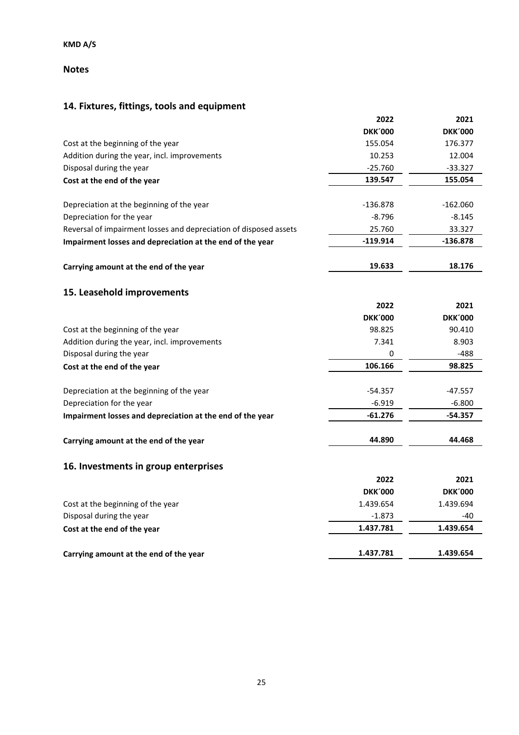### **Notes**

# **14. Fixtures, fittings, tools and equipment**

|                                                                   | 2022           | 2021           |
|-------------------------------------------------------------------|----------------|----------------|
|                                                                   | <b>DKK'000</b> | <b>DKK'000</b> |
| Cost at the beginning of the year                                 | 155.054        | 176.377        |
| Addition during the year, incl. improvements                      | 10.253         | 12.004         |
| Disposal during the year                                          | $-25.760$      | $-33.327$      |
| Cost at the end of the year                                       | 139.547        | 155.054        |
| Depreciation at the beginning of the year                         | $-136.878$     | $-162.060$     |
| Depreciation for the year                                         | $-8.796$       | $-8.145$       |
| Reversal of impairment losses and depreciation of disposed assets | 25.760         | 33.327         |
| Impairment losses and depreciation at the end of the year         | -119.914       | $-136.878$     |
| Carrying amount at the end of the year                            | 19.633         | 18.176         |
| 15. Leasehold improvements                                        |                |                |
|                                                                   | 2022           | 2021           |
|                                                                   | <b>DKK'000</b> | <b>DKK'000</b> |
| Cost at the beginning of the year                                 | 98.825         | 90.410         |
| Addition during the year, incl. improvements                      | 7.341          | 8.903          |
| Disposal during the year                                          | 0              | $-488$         |
| Cost at the end of the year                                       | 106.166        | 98.825         |
| Depreciation at the beginning of the year                         | $-54.357$      | $-47.557$      |
| Depreciation for the year                                         | $-6.919$       | $-6.800$       |
| Impairment losses and depreciation at the end of the year         | $-61.276$      | $-54.357$      |
| Carrying amount at the end of the year                            | 44.890         | 44.468         |
| 16. Investments in group enterprises                              |                |                |
|                                                                   | 2022           | 2021           |
|                                                                   | <b>DKK'000</b> | <b>DKK'000</b> |
| Cost at the beginning of the year                                 | 1.439.654      | 1.439.694      |
| Disposal during the year                                          | $-1.873$       | -40            |
| Cost at the end of the year                                       | 1.437.781      | 1.439.654      |
| Carrying amount at the end of the year                            | 1.437.781      | 1.439.654      |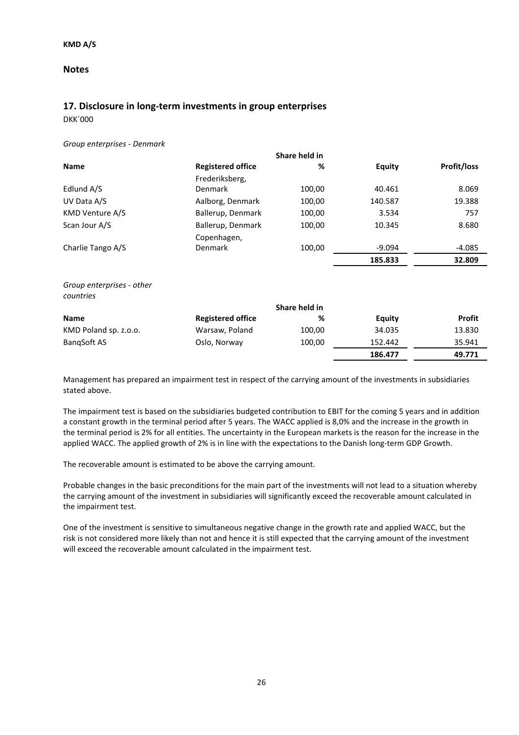### **Notes**

### **17. Disclosure in long-term investments in group enterprises**

DKK´000

*Group enterprises - Denmark*

|                           |                          | Share held in |               |                    |
|---------------------------|--------------------------|---------------|---------------|--------------------|
| <b>Name</b>               | <b>Registered office</b> | %             | <b>Equity</b> | <b>Profit/loss</b> |
|                           | Frederiksberg,           |               |               |                    |
| Edlund A/S                | <b>Denmark</b>           | 100,00        | 40.461        | 8.069              |
| UV Data A/S               | Aalborg, Denmark         | 100,00        | 140.587       | 19.388             |
| KMD Venture A/S           | Ballerup, Denmark        | 100,00        | 3.534         | 757                |
| Scan Jour A/S             | Ballerup, Denmark        | 100,00        | 10.345        | 8.680              |
|                           | Copenhagen,              |               |               |                    |
| Charlie Tango A/S         | Denmark                  | 100,00        | $-9.094$      | $-4.085$           |
|                           |                          |               | 185.833       | 32.809             |
|                           |                          |               |               |                    |
| Group enterprises - other |                          |               |               |                    |
| countries                 |                          |               |               |                    |
|                           |                          | Share held in |               |                    |
| <b>Name</b>               | <b>Registered office</b> | %             | <b>Equity</b> | <b>Profit</b>      |
| KMD Poland sp. z.o.o.     | Warsaw, Poland           | 100,00        | 34.035        | 13.830             |
| BangSoft AS               | Oslo, Norway             | 100,00        | 152.442       | 35.941             |
|                           |                          |               | 186.477       | 49.771             |

Management has prepared an impairment test in respect of the carrying amount of the investments in subsidiaries stated above.

The impairment test is based on the subsidiaries budgeted contribution to EBIT for the coming 5 years and in addition a constant growth in the terminal period after 5 years. The WACC applied is 8,0% and the increase in the growth in the terminal period is 2% for all entities. The uncertainty in the European markets is the reason for the increase in the applied WACC. The applied growth of 2% is in line with the expectations to the Danish long-term GDP Growth.

The recoverable amount is estimated to be above the carrying amount.

Probable changes in the basic preconditions for the main part of the investments will not lead to a situation whereby the carrying amount of the investment in subsidiaries will significantly exceed the recoverable amount calculated in the impairment test.

One of the investment is sensitive to simultaneous negative change in the growth rate and applied WACC, but the risk is not considered more likely than not and hence it is still expected that the carrying amount of the investment will exceed the recoverable amount calculated in the impairment test.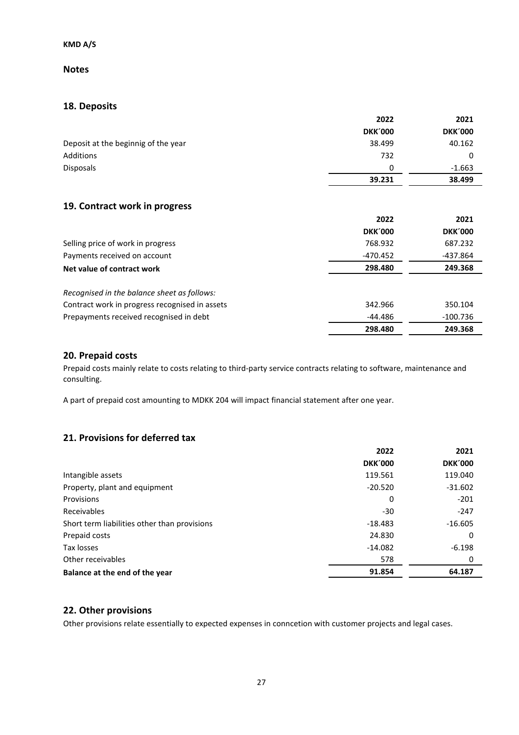### **Notes**

### **18. Deposits**

|                                     | 2022           | 2021           |
|-------------------------------------|----------------|----------------|
|                                     | <b>DKK'000</b> | <b>DKK'000</b> |
| Deposit at the beginnig of the year | 38.499         | 40.162         |
| Additions                           | 732            |                |
| <b>Disposals</b>                    | $\Omega$       | $-1.663$       |
|                                     | 39.231         | 38.499         |
|                                     |                |                |

### **19. Contract work in progress**

|                                                | 2022           | 2021           |
|------------------------------------------------|----------------|----------------|
|                                                | <b>DKK'000</b> | <b>DKK'000</b> |
| Selling price of work in progress              | 768.932        | 687.232        |
| Payments received on account                   | -470.452       | -437.864       |
| Net value of contract work                     | 298.480        | 249.368        |
| Recognised in the balance sheet as follows:    |                |                |
| Contract work in progress recognised in assets | 342.966        | 350.104        |
| Prepayments received recognised in debt        | $-44.486$      | $-100.736$     |
|                                                | 298.480        | 249.368        |

### **20. Prepaid costs**

Prepaid costs mainly relate to costs relating to third-party service contracts relating to software, maintenance and consulting.

A part of prepaid cost amounting to MDKK 204 will impact financial statement after one year.

### **21. Provisions for deferred tax**

|                                              | 2022           | 2021           |
|----------------------------------------------|----------------|----------------|
|                                              | <b>DKK'000</b> | <b>DKK'000</b> |
| Intangible assets                            | 119.561        | 119.040        |
| Property, plant and equipment                | $-20.520$      | $-31.602$      |
| Provisions                                   | 0              | $-201$         |
| Receivables                                  | $-30$          | $-247$         |
| Short term liabilities other than provisions | $-18.483$      | $-16.605$      |
| Prepaid costs                                | 24.830         | 0              |
| Tax losses                                   | $-14.082$      | $-6.198$       |
| Other receivables                            | 578            | 0              |
| Balance at the end of the year               | 91.854         | 64.187         |

### **22. Other provisions**

Other provisions relate essentially to expected expenses in conncetion with customer projects and legal cases.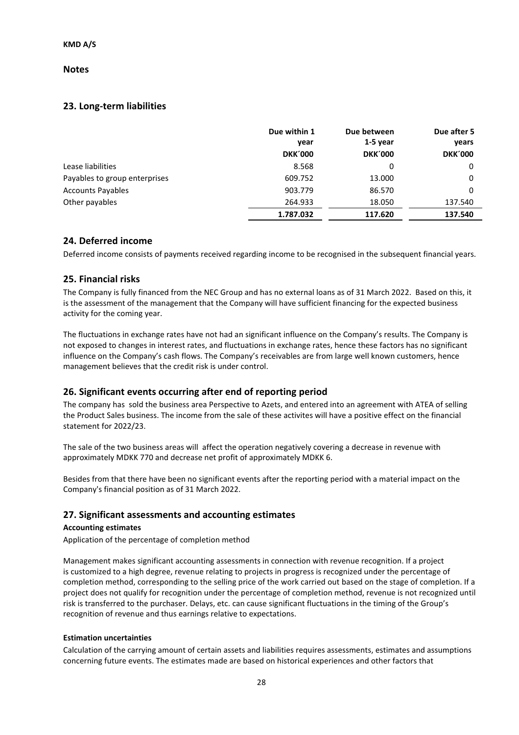### **Notes**

### **23. Long-term liabilities**

|                               | Due within 1<br>year | Due between<br>$1-5$ year | Due after 5<br>years |
|-------------------------------|----------------------|---------------------------|----------------------|
|                               | <b>DKK'000</b>       | <b>DKK'000</b>            | <b>DKK'000</b>       |
| Lease liabilities             | 8.568                | 0                         | 0                    |
| Payables to group enterprises | 609.752              | 13.000                    | 0                    |
| <b>Accounts Payables</b>      | 903.779              | 86.570                    | 0                    |
| Other payables                | 264.933              | 18.050                    | 137.540              |
|                               | 1.787.032            | 117.620                   | 137.540              |

### **24. Deferred income**

Deferred income consists of payments received regarding income to be recognised in the subsequent financial years.

### **25. Financial risks**

The Company is fully financed from the NEC Group and has no external loans as of 31 March 2022. Based on this, it is the assessment of the management that the Company will have sufficient financing for the expected business activity for the coming year.

The fluctuations in exchange rates have not had an significant influence on the Company's results. The Company is not exposed to changes in interest rates, and fluctuations in exchange rates, hence these factors has no significant influence on the Company's cash flows. The Company's receivables are from large well known customers, hence management believes that the credit risk is under control.

### **26. Significant events occurring after end of reporting period**

The company has sold the business area Perspective to Azets, and entered into an agreement with ATEA of selling the Product Sales business. The income from the sale of these activites will have a positive effect on the financial statement for 2022/23.

The sale of the two business areas will affect the operation negatively covering a decrease in revenue with approximately MDKK 770 and decrease net profit of approximately MDKK 6.

Besides from that there have been no significant events after the reporting period with a material impact on the Company's financial position as of 31 March 2022.

### **27. Significant assessments and accounting estimates**

#### **Accounting estimates**

Application of the percentage of completion method

Management makes significant accounting assessments in connection with revenue recognition. If a project is customized to a high degree, revenue relating to projects in progress is recognized under the percentage of completion method, corresponding to the selling price of the work carried out based on the stage of completion. If a project does not qualify for recognition under the percentage of completion method, revenue is not recognized until risk is transferred to the purchaser. Delays, etc. can cause significant fluctuations in the timing of the Group's recognition of revenue and thus earnings relative to expectations.

#### **Estimation uncertainties**

Calculation of the carrying amount of certain assets and liabilities requires assessments, estimates and assumptions concerning future events. The estimates made are based on historical experiences and other factors that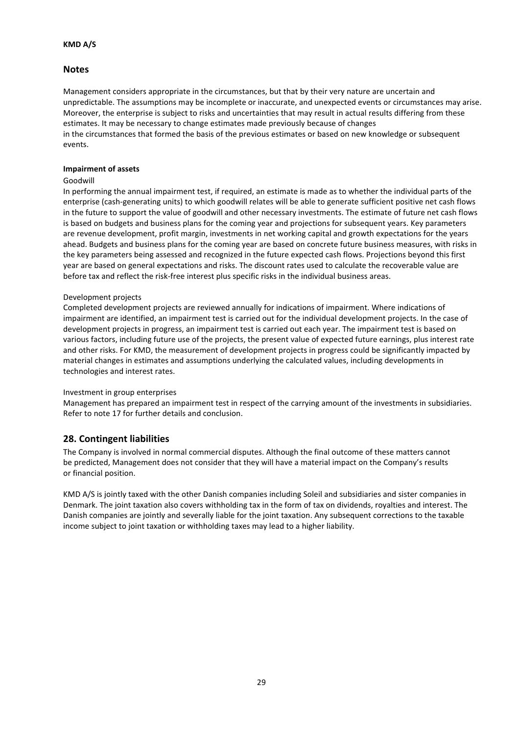### **Notes**

Management considers appropriate in the circumstances, but that by their very nature are uncertain and unpredictable. The assumptions may be incomplete or inaccurate, and unexpected events or circumstances may arise. Moreover, the enterprise is subject to risks and uncertainties that may result in actual results differing from these estimates. It may be necessary to change estimates made previously because of changes in the circumstances that formed the basis of the previous estimates or based on new knowledge or subsequent events.

#### **Impairment of assets**

#### Goodwill

In performing the annual impairment test, if required, an estimate is made as to whether the individual parts of the enterprise (cash-generating units) to which goodwill relates will be able to generate sufficient positive net cash flows in the future to support the value of goodwill and other necessary investments. The estimate of future net cash flows is based on budgets and business plans for the coming year and projections for subsequent years. Key parameters are revenue development, profit margin, investments in net working capital and growth expectations for the years ahead. Budgets and business plans for the coming year are based on concrete future business measures, with risks in the key parameters being assessed and recognized in the future expected cash flows. Projections beyond this first year are based on general expectations and risks. The discount rates used to calculate the recoverable value are before tax and reflect the risk-free interest plus specific risks in the individual business areas.

#### Development projects

Completed development projects are reviewed annually for indications of impairment. Where indications of impairment are identified, an impairment test is carried out for the individual development projects. In the case of development projects in progress, an impairment test is carried out each year. The impairment test is based on various factors, including future use of the projects, the present value of expected future earnings, plus interest rate and other risks. For KMD, the measurement of development projects in progress could be significantly impacted by material changes in estimates and assumptions underlying the calculated values, including developments in technologies and interest rates.

#### Investment in group enterprises

Management has prepared an impairment test in respect of the carrying amount of the investments in subsidiaries. Refer to note 17 for further details and conclusion.

### **28. Contingent liabilities**

The Company is involved in normal commercial disputes. Although the final outcome of these matters cannot be predicted, Management does not consider that they will have a material impact on the Company's results or financial position.

KMD A/S is jointly taxed with the other Danish companies including Soleil and subsidiaries and sister companies in Denmark. The joint taxation also covers withholding tax in the form of tax on dividends, royalties and interest. The Danish companies are jointly and severally liable for the joint taxation. Any subsequent corrections to the taxable income subject to joint taxation or withholding taxes may lead to a higher liability.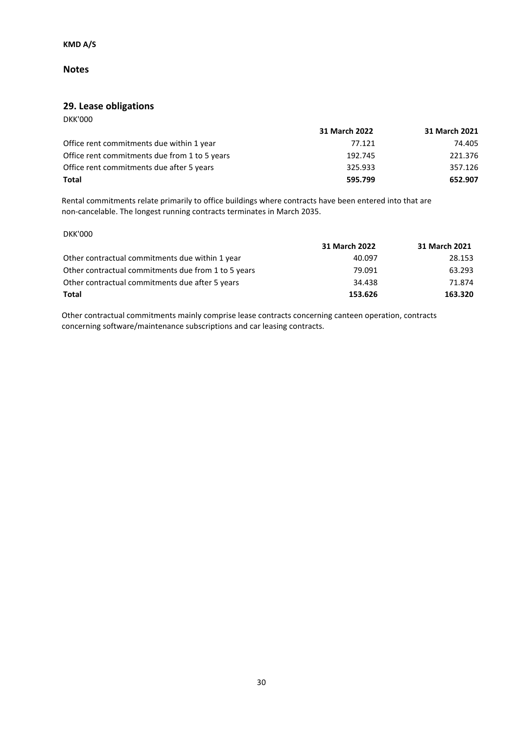### **Notes**

### **29. Lease obligations**

| <b>DKK'000</b>                                |               |               |
|-----------------------------------------------|---------------|---------------|
|                                               | 31 March 2022 | 31 March 2021 |
| Office rent commitments due within 1 year     | 77.121        | 74.405        |
| Office rent commitments due from 1 to 5 years | 192.745       | 221.376       |
| Office rent commitments due after 5 years     | 325.933       | 357.126       |
| Total                                         | 595.799       | 652.907       |

Rental commitments relate primarily to office buildings where contracts have been entered into that are non-cancelable. The longest running contracts terminates in March 2035.

DKK'000

|                                                     | 31 March 2022 | 31 March 2021 |
|-----------------------------------------------------|---------------|---------------|
| Other contractual commitments due within 1 year     | 40.097        | 28.153        |
| Other contractual commitments due from 1 to 5 years | 79.091        | 63.293        |
| Other contractual commitments due after 5 years     | 34.438        | 71.874        |
| Total                                               | 153.626       | 163.320       |

Other contractual commitments mainly comprise lease contracts concerning canteen operation, contracts concerning software/maintenance subscriptions and car leasing contracts.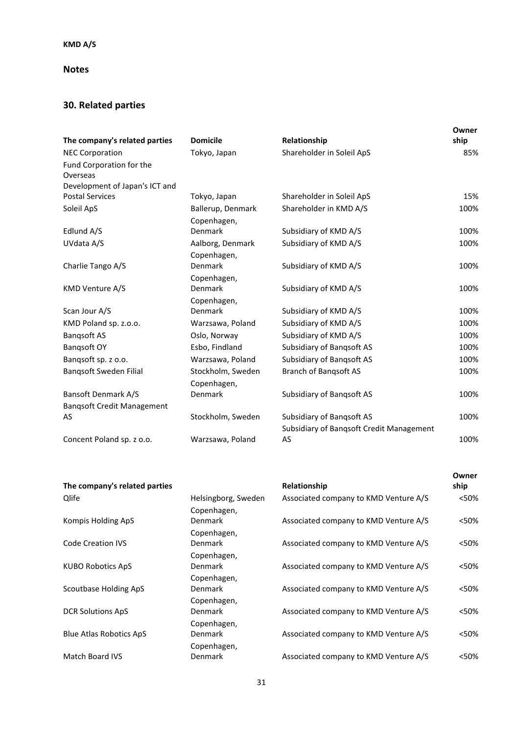### **Notes**

# **30. Related parties**

|                                   |                   |                                          | Owner |
|-----------------------------------|-------------------|------------------------------------------|-------|
| The company's related parties     | <b>Domicile</b>   | Relationship                             | ship  |
| <b>NEC Corporation</b>            | Tokyo, Japan      | Shareholder in Soleil ApS                | 85%   |
| Fund Corporation for the          |                   |                                          |       |
| Overseas                          |                   |                                          |       |
| Development of Japan's ICT and    |                   |                                          |       |
| <b>Postal Services</b>            | Tokyo, Japan      | Shareholder in Soleil ApS                | 15%   |
| Soleil ApS                        | Ballerup, Denmark | Shareholder in KMD A/S                   | 100%  |
|                                   | Copenhagen,       |                                          |       |
| Edlund A/S                        | Denmark           | Subsidiary of KMD A/S                    | 100%  |
| UVdata A/S                        | Aalborg, Denmark  | Subsidiary of KMD A/S                    | 100%  |
|                                   | Copenhagen,       |                                          |       |
| Charlie Tango A/S                 | Denmark           | Subsidiary of KMD A/S                    | 100%  |
|                                   | Copenhagen,       |                                          |       |
| <b>KMD Venture A/S</b>            | <b>Denmark</b>    | Subsidiary of KMD A/S                    | 100%  |
|                                   | Copenhagen,       |                                          |       |
| Scan Jour A/S                     | Denmark           | Subsidiary of KMD A/S                    | 100%  |
| KMD Poland sp. z.o.o.             | Warzsawa, Poland  | Subsidiary of KMD A/S                    | 100%  |
| <b>Bangsoft AS</b>                | Oslo, Norway      | Subsidiary of KMD A/S                    | 100%  |
| Bangsoft OY                       | Esbo, Findland    | Subsidiary of Bangsoft AS                | 100%  |
| Bangsoft sp. z o.o.               | Warzsawa, Poland  | Subsidiary of Bangsoft AS                | 100%  |
| Bangsoft Sweden Filial            | Stockholm, Sweden | <b>Branch of Bangsoft AS</b>             | 100%  |
|                                   | Copenhagen,       |                                          |       |
| <b>Bansoft Denmark A/S</b>        | Denmark           | Subsidiary of Bangsoft AS                | 100%  |
| <b>Bangsoft Credit Management</b> |                   |                                          |       |
| AS                                | Stockholm, Sweden | Subsidiary of Bangsoft AS                | 100%  |
|                                   |                   | Subsidiary of Bangsoft Credit Management |       |
| Concent Poland sp. z o.o.         | Warzsawa, Poland  | AS                                       | 100%  |

| The company's related parties  |                                    | Relationship                          | Owner<br>ship |
|--------------------------------|------------------------------------|---------------------------------------|---------------|
| Qlife                          | Helsingborg, Sweden<br>Copenhagen, | Associated company to KMD Venture A/S | < 50%         |
| Kompis Holding ApS             | <b>Denmark</b>                     | Associated company to KMD Venture A/S | <50%          |
| <b>Code Creation IVS</b>       | Copenhagen,<br>Denmark             | Associated company to KMD Venture A/S | <50%          |
| <b>KUBO Robotics ApS</b>       | Copenhagen,<br>Denmark             | Associated company to KMD Venture A/S | <50%          |
| Scoutbase Holding ApS          | Copenhagen,<br>Denmark             | Associated company to KMD Venture A/S | <50%          |
| <b>DCR Solutions ApS</b>       | Copenhagen,<br><b>Denmark</b>      | Associated company to KMD Venture A/S | <50%          |
|                                | Copenhagen,                        |                                       |               |
| <b>Blue Atlas Robotics ApS</b> | <b>Denmark</b><br>Copenhagen,      | Associated company to KMD Venture A/S | <50%          |
| <b>Match Board IVS</b>         | Denmark                            | Associated company to KMD Venture A/S | <50%          |